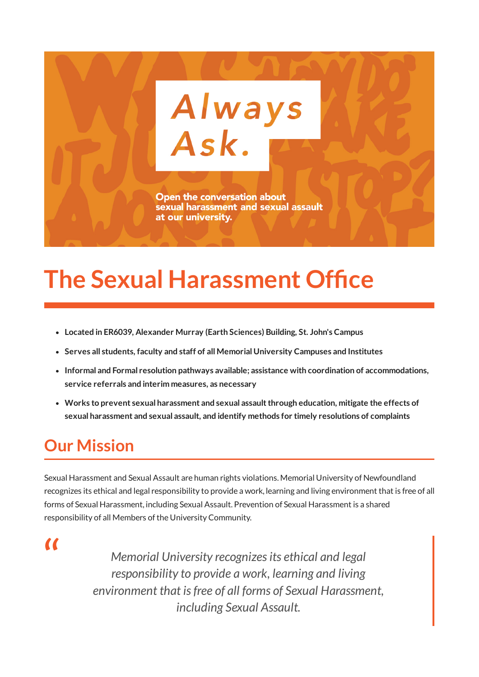

# **The Sexual [Harassment](https://www.mun.ca/sexualharassment/) Office**

- **Located in ER6039, Alexander Murray (Earth Sciences) Building, St. John's Campus**
- **Serves all students, faculty and staff of all Memorial University Campuses and Institutes**
- **Informal and Formal resolution pathways available; assistance with coordination of accommodations, service referrals and interim measures, as necessary**
- **Works to prevent sexual harassment and sexual assaultthrough education, mitigate the effects of sexual harassment and sexual assault, and identify methods for timely resolutions of complaints**

## **Our Mission**

Sexual Harassment and Sexual Assault are human rights violations. Memorial University of Newfoundland recognizes its ethical and legal responsibility to provide a work, learning and living environment that is free of all forms of Sexual Harassment, including Sexual Assault. Prevention of Sexual Harassment is a shared responsibility of all Members of the University Community.

 $\alpha$ 

*Memorial University recognizesits ethical and legal responsibility to provide a work, learning and living environment that isfree of all forms of Sexual Harassment, including Sexual Assault.*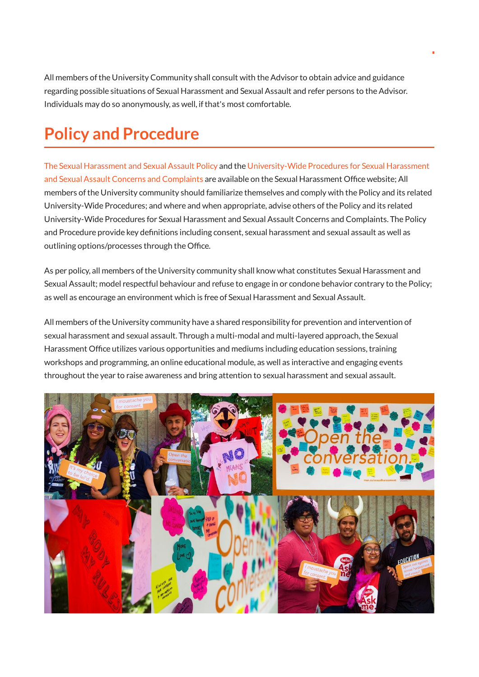All members of the University Community shall consult with the Advisor to obtain advice and guidance regarding possible situations of Sexual Harassment and Sexual Assault and refer persons to the Advisor. Individuals may do so anonymously, as well, if that's most comfortable.

### **Policy and Procedure**

The Sexual [Harassment](https://www.mun.ca/policy/browse/policies/view.php?policy=321) and Sexual Assault Policy and the [University-Wide](https://www.mun.ca/policy/browse/procedures/view.php?procedure=563) Procedures for Sexual Harassment and Sexual Assault Concerns and Complaints are available on the Sexual Harassment Office website; All members ofthe University community should familiarize themselves and comply with the Policy and its related University-Wide Procedures; and where and when appropriate, advise others ofthe Policy and its related University-Wide Procedures for Sexual Harassment and Sexual Assault Concerns and Complaints. The Policy and Procedure provide key definitions including consent, sexual harassment and sexual assault as well as outlining options/processes through the Office.

As per policy, all members ofthe University community shall know what constitutes Sexual Harassment and Sexual Assault; model respectful behaviour and refuse to engage in or condone behavior contrary to the Policy; as well as encourage an environment which is free of Sexual Harassment and Sexual Assault.

All members ofthe University community have a shared responsibility for prevention and intervention of sexual harassment and sexual assault. Through a multi-modal and multi-layered approach, the Sexual Harassment Office utilizes various opportunities and mediums including education sessions, training workshops and programming, an online educational module, as well as interactive and engaging events throughout the year to raise awareness and bring attention to sexual harassment and sexual assault.

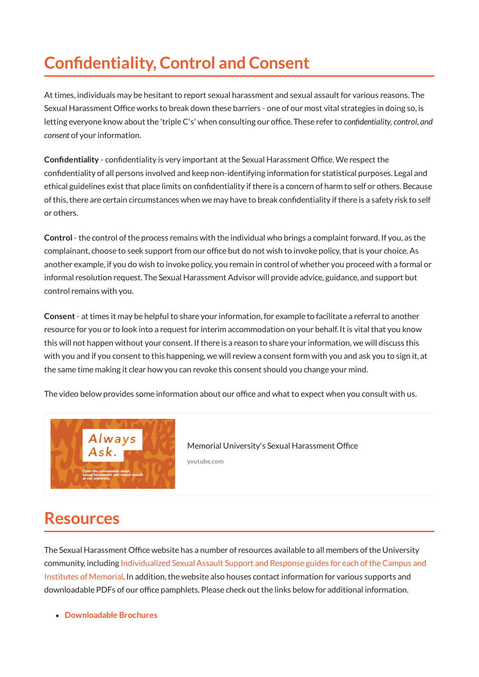## **Confidentiality, Control and Consent**

At times, individuals may be hesitant to report sexual harassment and sexual assault for various reasons. The Sexual Harassment Office works to break down these barriers - one of our most vital strategies in doing so, is letting everyone know about the 'triple C's' when consulting our office. These refer to *confidentiality, control, and consent* of your information.

**Confidentiality** - confidentiality is very important at the Sexual Harassment Office. We respect the condentiality of all persons involved and keep non-identifying information for statistical purposes. Legal and ethical guidelines exist that place limits on condentiality ifthere is a concern of harm to self or others. Because of this, there are certain circumstances when we may have to break confidentiality if there is a safety risk to self or others.

**Control** - the control of the process remains with the individual who brings a complaint forward. If you, as the complainant, choose to seek support from our office but do not wish to invoke policy, that is your choice. As another example, if you do wish to invoke policy, you remain in control of whether you proceed with a formal or informal resolution request. The Sexual Harassment Advisor will provide advice, guidance, and support but control remains with you.

**Consent** - at times it may be helpful to share your information, for example to facilitate a referral to another resource for you or to look into a request for interim accommodation on your behalf. It is vital that you know this will not happen without your consent. If there is a reason to share your information, we will discuss this with you and if you consent to this happening, we will review a consent form with you and ask you to sign it, at the same time making it clear how you can revoke this consent should you change your mind.

The video below provides some information about our office and what to expect when you consult with us.



Memorial University's Sexual [Harassment](https://www.youtube.com/watch?time_continue=1&v=ZdC2GUTele0&feature=emb_logo) Office **youtube.com**

#### **Resources**

The Sexual Harassment Office website has a number of resources available to all members of the University community, including Individualized Sexual Assault Support and Response guides for each [oftheCampus](https://www.mun.ca/sexualharassment/reporting/) and Institutes of Memorial. In addition, the website also houses contact information for various supports and downloadable PDFs of our office pamphlets. Please check out the links below for additional information.

**[Downloadable](https://www.mun.ca/sexualharassment/resources/brochures.php) Brochures**